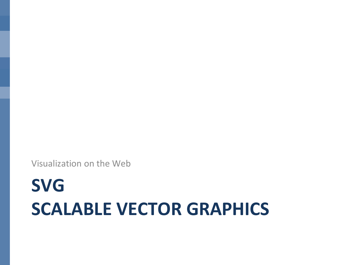Visualization on the Web

# **SVG SCALABLE VECTOR GRAPHICS**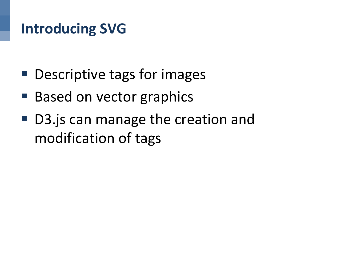# **Introducing SVG**

- Descriptive tags for images
- Based on vector graphics
- D3. js can manage the creation and modification of tags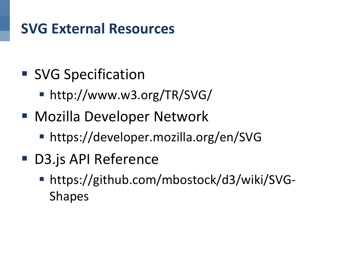# **SVG External Resources**

- SVG Specification
	- http://www.w3.org/TR/SVG/
- Mozilla Developer Network
	- § https://developer.mozilla.org/en/SVG
- D3.js API Reference
	- https://github.com/mbostock/d3/wiki/SVG-Shapes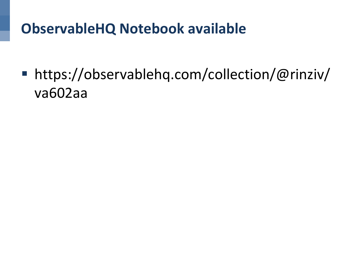# **ObservableHQ Notebook available**

■ https://observablehq.com/collection/@rinziv/ va602aa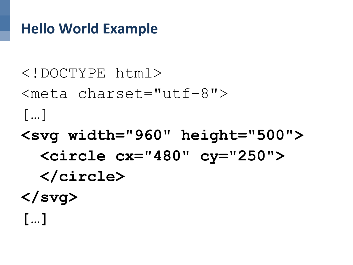### **Hello World Example**

<!DOCTYPE html> <meta charset="utf-8"> […]

- **<svg width="960" height="500"> <circle cx="480" cy="250"> </circle> </svg>**
- **[…]**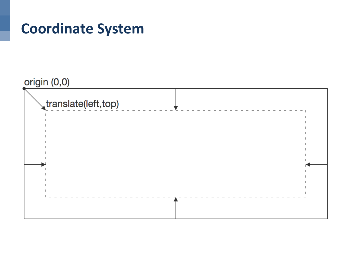### **Coordinate System**

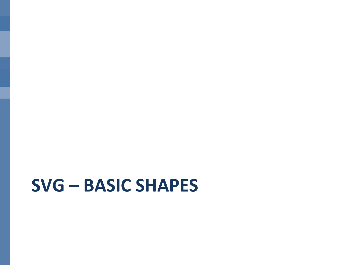# **SVG – BASIC SHAPES**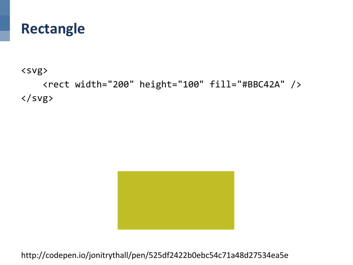#### **Rectangle**

<svg> 

 <rect width="200" height="100" fill="#BBC42A" />  $\langle$ /svg $\rangle$ 



http://codepen.io/jonitrythall/pen/525df2422b0ebc54c71a48d27534ea5e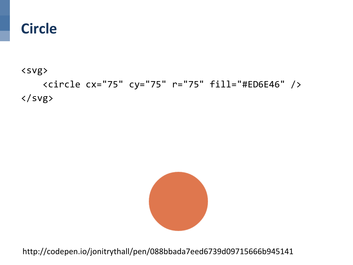#### **Circle**

<svg> 

 <circle cx="75" cy="75" r="75" fill="#ED6E46" /> </svg>



http://codepen.io/jonitrythall/pen/088bbada7eed6739d09715666b945141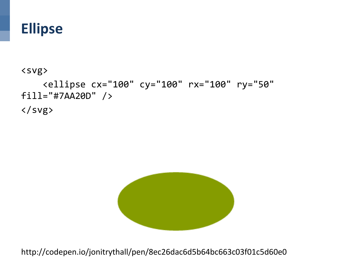#### **Ellipse**

<svg> 

 <ellipse cx="100" cy="100" rx="100" ry="50" fill="#7AA20D" /> </svg>



http://codepen.io/jonitrythall/pen/8ec26dac6d5b64bc663c03f01c5d60e0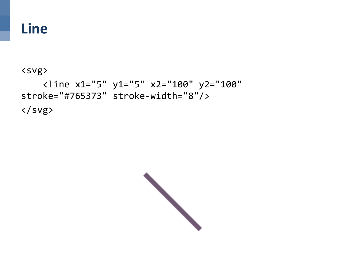#### **Line**

#### <svg>

 <line x1="5" y1="5" x2="100" y2="100" stroke="#765373" stroke-width="8"/> </svg>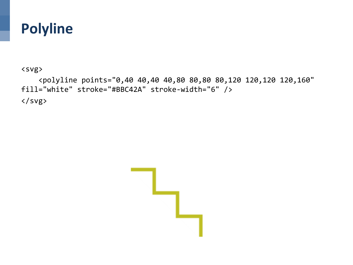### **Polyline**

<svg> 

 <polyline points="0,40 40,40 40,80 80,80 80,120 120,120 120,160" fill="white" stroke="#BBC42A" stroke-width="6" />  $\langle$ /svg $\rangle$ 

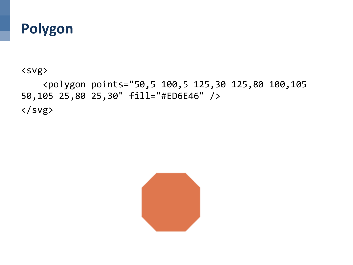### **Polygon**

<svg> 

 <polygon points="50,5 100,5 125,30 125,80 100,105 50,105 25,80 25,30" fill="#ED6E46" /> </svg> 

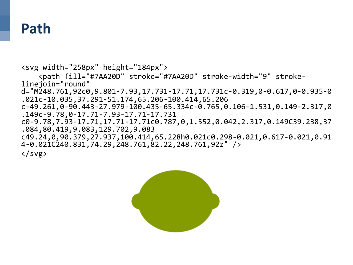#### **Path**

<svg width="258px" height="184px"> <path fill="#7AA20D" stroke="#7AA20D" stroke-width="9" strokelinejoin="round" d="M248.761,92c0,9.801-7.93,17.731-17.71,17.731c-0.319,0-0.617,0-0.935-0 .021c-10.035,37.291-51.174,65.206-100.414,65.206 c-49.261,0-90.443-27.979-100.435-65.334c-0.765,0.106-1.531,0.149-2.317,0 .149c-9.78,0-17.71-7.93-17.71-17.731 c0-9.78,7.93-17.71,17.71-17.71c0.787,0,1.552,0.042,2.317,0.149C39.238,37 .084,80.419,9.083,129.702,9.083 c49.24,0,90.379,27.937,100.414,65.228h0.021c0.298-0.021,0.617-0.021,0.91 4-0.021C240.831,74.29,248.761,82.22,248.761,92z" /> 

</svg> 

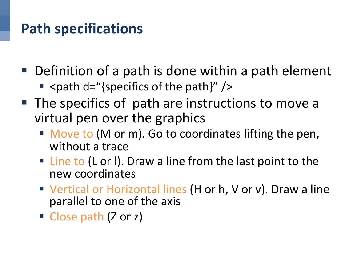# **Path specifications**

- Definition of a path is done within a path element
	- **E** <path  $d =$ "{specifics of the path}" />
- The specifics of path are instructions to move a virtual pen over the graphics
	- Move to (M or m). Go to coordinates lifting the pen, without a trace
	- Line to (L or I). Draw a line from the last point to the new coordinates
	- Vertical or Horizontal lines (H or h, V or v). Draw a line parallel to one of the axis
	- Close path (Z or z)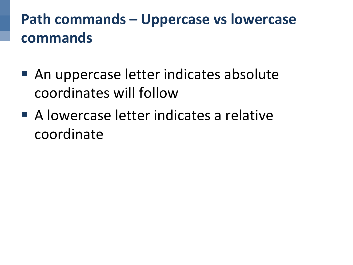# **Path commands – Uppercase vs lowercase commands**

- An uppercase letter indicates absolute coordinates will follow
- A lowercase letter indicates a relative coordinate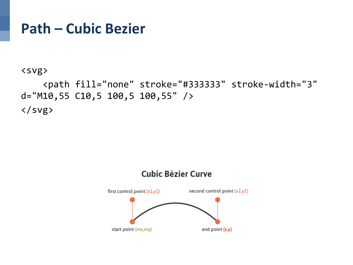#### **Path – Cubic Bezier**

```
<svg>
```

```
				<path fill="none"	stroke="#333333"	stroke-width="3"	
d="M10,55 C10,5 100,5 100,55" />
\langle/svg>
```
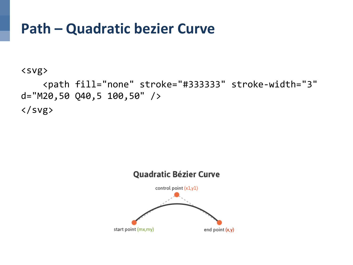#### **Path – Quadratic bezier Curve**

<svg> 

 <path fill="none" stroke="#333333" stroke-width="3"  $d = "M20, 50 Q40, 5 100, 50"$  $\langle$ /svg>

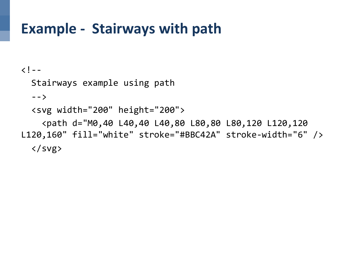### **Example - Stairways with path**

 $\langle$ ! --

Stairways example using path

 $--\rangle$ 

 <svg width="200" height="200"> 

 <path d="M0,40 L40,40 L40,80 L80,80 L80,120 L120,120 L120,160" fill="white" stroke="#BBC42A" stroke-width="6" />  $\langle$ /svg>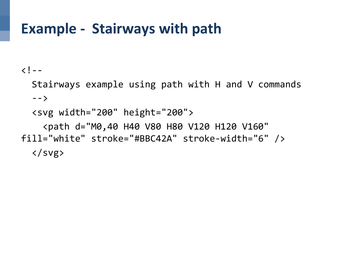### **Example - Stairways with path**

 $\langle$ ! --

Stairways example using path with H and V commands  $--\rangle$ 

 <svg width="200" height="200"> 

 <path d="M0,40 H40 V80 H80 V120 H120 V160" fill="white" stroke="#BBC42A" stroke-width="6" />  $\langle$ /svg>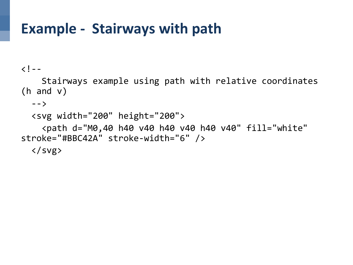### **Example - Stairways with path**

#### $\langle$ ! --

Stairways example using path with relative coordinates (h and  $v$ )

```
--\rangle
```

```
		<svg	width="200"	height="200">
```

```
				<path	d="M0,40	h40	v40	h40	v40	h40	v40"	fill="white"	
stroke="#BBC42A" stroke-width="6" />
```
 $\langle$ /svg>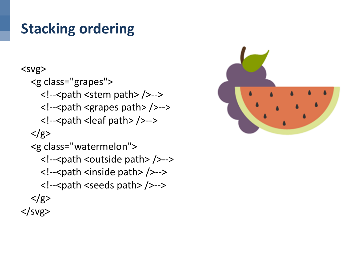# **Stacking ordering**

#### <svg> <g class="grapes"> <!--<path <stem path> />--> <!--<path <grapes path> />--> <!--<path <leaf path> />-->  $\langle$ /g> <g class="watermelon"> <!--<path <outside path> />--> <!--<path <inside path> />--> <!--<path <seeds path> />-->  $\langle$ g>  $<$ /svg>

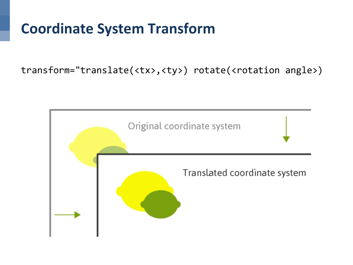# **Coordinate System Transform**

transform="translate(<tx>,<ty>) rotate(<rotation angle>)

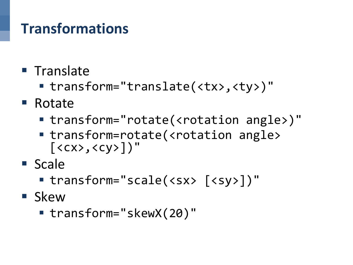# **Transformations**

- Translate
	- transform="translate(<tx>,<ty>)"
- Rotate
	- transform="rotate(<rotation angle>)"
	- transform=rotate(<rotation angle>  $[\langle c \rangle, \langle c \rangle]$ "
- Scale
	- transform="scale(<sx> [<sy>])"
- Skew
	- transform="skewX(20)"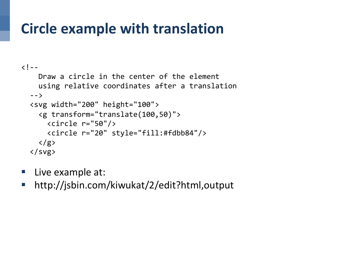# **Circle example with translation**

```
\langle! --
    Draw a circle in the center of the element
    using relative coordinates after a translation
  		-->	
  		<svg	width="200"	height="100">	
     				<g	transform="translate(100,50)">	
       \langlecircle r="50"/>
       						<circle	r="20"	style="fill:#fdbb84"/>	
    \langle/g>
  \langle/svg>
```
- Live example at:
- http://jsbin.com/kiwukat/2/edit?html,output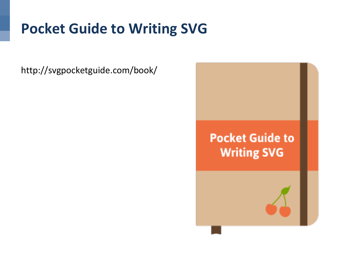# **Pocket Guide to Writing SVG**

http://svgpocketguide.com/book/ 

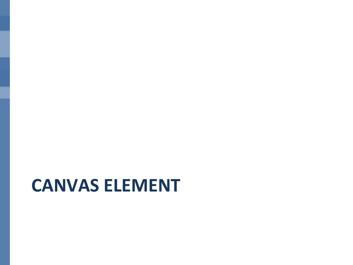# **CANVAS ELEMENT**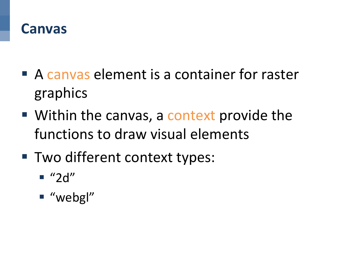#### **Canvas**

- A canvas element is a container for raster graphics
- Within the canvas, a context provide the functions to draw visual elements
- Two different context types:
	- $\blacksquare$  "2d"
	- "webgl"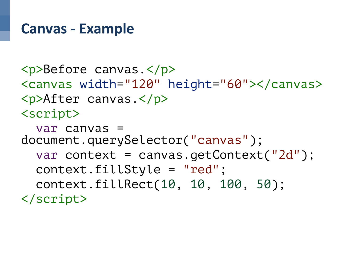#### **Canvas - Example**

<p>Before canvas.</p> <canvas width="120" height="60"></canvas> <p>After canvas.</p> <script>

 var canvas = document.querySelector("canvas"); var context = canvas.getContext("2d"); context.fillStyle = "red"; context.fillRect(10, 10, 100, 50); </script>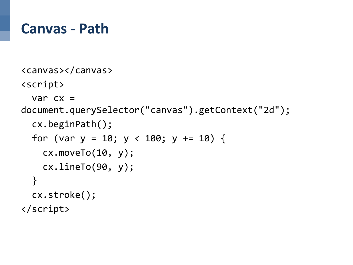#### **Canvas - Path**

```
<canvas></canvas>	
<script>	
  var cx =document.querySelector("canvas").getContext("2d");	
  		cx.beginPath();	
  for (var y = 10; y < 100; y + = 10) {
    cx.moveTo(10, y);				cx.lineTo(90,	y);	
  		}	
  		cx.stroke();	
</script>
```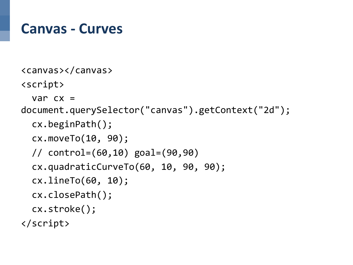#### **Canvas - Curves**

```
<canvas></canvas>	
<script>	
  var cx =document.querySelector("canvas").getContext("2d");	
  		cx.beginPath();	
  		cx.moveTo(10,	90);	
  		//	control=(60,10)	goal=(90,90)	
  cx.quadraticCurveTo(60, 10, 90, 90);
  		cx.lineTo(60,	10);	
  		cx.closePath();	
  		cx.stroke();	
</script>
```